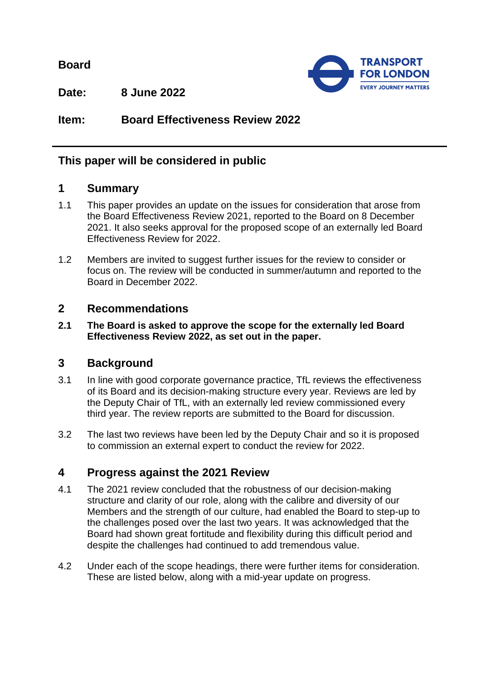**Board**



**Date: 8 June 2022**

# **Item: Board Effectiveness Review 2022**

# **This paper will be considered in public**

## **1 Summary**

- 1.1 This paper provides an update on the issues for consideration that arose from the Board Effectiveness Review 2021, reported to the Board on 8 December 2021. It also seeks approval for the proposed scope of an externally led Board Effectiveness Review for 2022.
- 1.2 Members are invited to suggest further issues for the review to consider or focus on. The review will be conducted in summer/autumn and reported to the Board in December 2022.

# **2 Recommendations**

**2.1 The Board is asked to approve the scope for the externally led Board Effectiveness Review 2022, as set out in the paper.**

### **3 Background**

- 3.1 In line with good corporate governance practice, TfL reviews the effectiveness of its Board and its decision-making structure every year. Reviews are led by the Deputy Chair of TfL, with an externally led review commissioned every third year. The review reports are submitted to the Board for discussion.
- 3.2 The last two reviews have been led by the Deputy Chair and so it is proposed to commission an external expert to conduct the review for 2022.

# **4 Progress against the 2021 Review**

- 4.1 The 2021 review concluded that the robustness of our decision-making structure and clarity of our role, along with the calibre and diversity of our Members and the strength of our culture, had enabled the Board to step-up to the challenges posed over the last two years. It was acknowledged that the Board had shown great fortitude and flexibility during this difficult period and despite the challenges had continued to add tremendous value.
- 4.2 Under each of the scope headings, there were further items for consideration. These are listed below, along with a mid-year update on progress.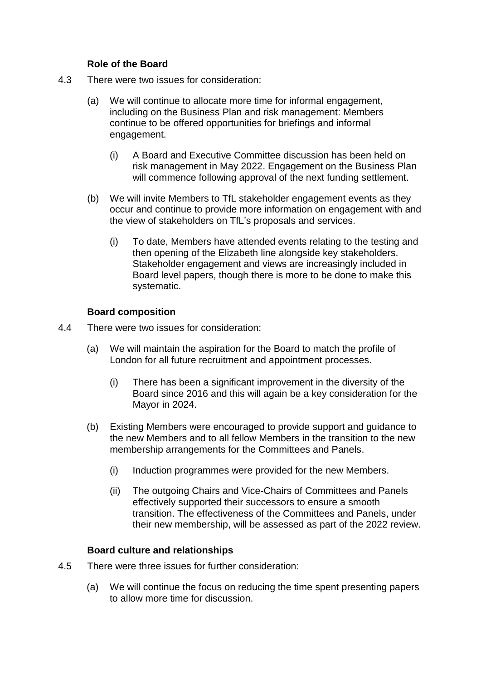### **Role of the Board**

- 4.3 There were two issues for consideration:
	- (a) We will continue to allocate more time for informal engagement, including on the Business Plan and risk management: Members continue to be offered opportunities for briefings and informal engagement.
		- (i) A Board and Executive Committee discussion has been held on risk management in May 2022. Engagement on the Business Plan will commence following approval of the next funding settlement.
	- (b) We will invite Members to TfL stakeholder engagement events as they occur and continue to provide more information on engagement with and the view of stakeholders on TfL's proposals and services.
		- (i) To date, Members have attended events relating to the testing and then opening of the Elizabeth line alongside key stakeholders. Stakeholder engagement and views are increasingly included in Board level papers, though there is more to be done to make this systematic.

### **Board composition**

- 4.4 There were two issues for consideration:
	- (a) We will maintain the aspiration for the Board to match the profile of London for all future recruitment and appointment processes.
		- (i) There has been a significant improvement in the diversity of the Board since 2016 and this will again be a key consideration for the Mayor in 2024.
	- (b) Existing Members were encouraged to provide support and guidance to the new Members and to all fellow Members in the transition to the new membership arrangements for the Committees and Panels.
		- (i) Induction programmes were provided for the new Members.
		- (ii) The outgoing Chairs and Vice-Chairs of Committees and Panels effectively supported their successors to ensure a smooth transition. The effectiveness of the Committees and Panels, under their new membership, will be assessed as part of the 2022 review.

### **Board culture and relationships**

- 4.5 There were three issues for further consideration:
	- (a) We will continue the focus on reducing the time spent presenting papers to allow more time for discussion.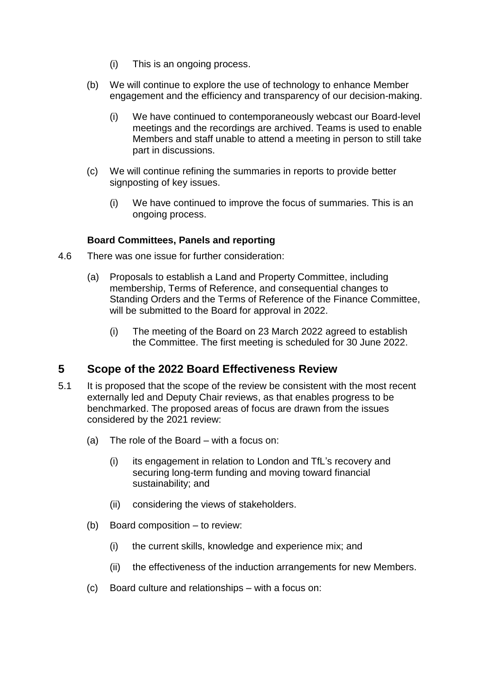- (i) This is an ongoing process.
- (b) We will continue to explore the use of technology to enhance Member engagement and the efficiency and transparency of our decision-making.
	- (i) We have continued to contemporaneously webcast our Board-level meetings and the recordings are archived. Teams is used to enable Members and staff unable to attend a meeting in person to still take part in discussions.
- (c) We will continue refining the summaries in reports to provide better signposting of key issues.
	- (i) We have continued to improve the focus of summaries. This is an ongoing process.

### **Board Committees, Panels and reporting**

- 4.6 There was one issue for further consideration:
	- (a) Proposals to establish a Land and Property Committee, including membership, Terms of Reference, and consequential changes to Standing Orders and the Terms of Reference of the Finance Committee, will be submitted to the Board for approval in 2022.
		- (i) The meeting of the Board on 23 March 2022 agreed to establish the Committee. The first meeting is scheduled for 30 June 2022.

# **5 Scope of the 2022 Board Effectiveness Review**

- 5.1 It is proposed that the scope of the review be consistent with the most recent externally led and Deputy Chair reviews, as that enables progress to be benchmarked. The proposed areas of focus are drawn from the issues considered by the 2021 review:
	- (a) The role of the Board with a focus on:
		- (i) its engagement in relation to London and TfL's recovery and securing long-term funding and moving toward financial sustainability; and
		- (ii) considering the views of stakeholders.
	- (b) Board composition to review:
		- (i) the current skills, knowledge and experience mix; and
		- (ii) the effectiveness of the induction arrangements for new Members.
	- (c) Board culture and relationships with a focus on: